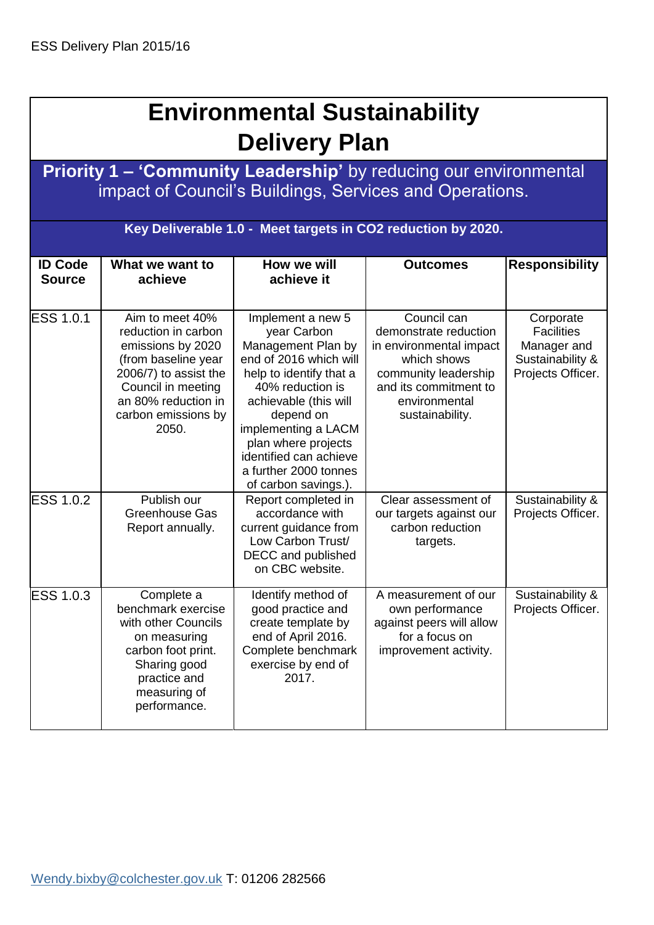| <b>Environmental Sustainability</b><br><b>Delivery Plan</b> |                                                                                                                                                                                          |                                                                                                                                                                                                                                                                                                |                                                                                                                                                                     |                                                                                        |  |  |
|-------------------------------------------------------------|------------------------------------------------------------------------------------------------------------------------------------------------------------------------------------------|------------------------------------------------------------------------------------------------------------------------------------------------------------------------------------------------------------------------------------------------------------------------------------------------|---------------------------------------------------------------------------------------------------------------------------------------------------------------------|----------------------------------------------------------------------------------------|--|--|
|                                                             |                                                                                                                                                                                          |                                                                                                                                                                                                                                                                                                | Priority 1 - 'Community Leadership' by reducing our environmental<br>impact of Council's Buildings, Services and Operations.                                        |                                                                                        |  |  |
|                                                             |                                                                                                                                                                                          |                                                                                                                                                                                                                                                                                                | Key Deliverable 1.0 - Meet targets in CO2 reduction by 2020.                                                                                                        |                                                                                        |  |  |
| <b>ID Code</b><br><b>Source</b>                             | How we will<br><b>Responsibility</b><br>What we want to<br><b>Outcomes</b><br>achieve it<br>achieve                                                                                      |                                                                                                                                                                                                                                                                                                |                                                                                                                                                                     |                                                                                        |  |  |
| <b>ESS 1.0.1</b>                                            | Aim to meet 40%<br>reduction in carbon<br>emissions by 2020<br>(from baseline year<br>2006/7) to assist the<br>Council in meeting<br>an 80% reduction in<br>carbon emissions by<br>2050. | Implement a new 5<br>year Carbon<br>Management Plan by<br>end of 2016 which will<br>help to identify that a<br>40% reduction is<br>achievable (this will<br>depend on<br>implementing a LACM<br>plan where projects<br>identified can achieve<br>a further 2000 tonnes<br>of carbon savings.). | Council can<br>demonstrate reduction<br>in environmental impact<br>which shows<br>community leadership<br>and its commitment to<br>environmental<br>sustainability. | Corporate<br><b>Facilities</b><br>Manager and<br>Sustainability &<br>Projects Officer. |  |  |
| <b>ESS 1.0.2</b>                                            | Publish our<br><b>Greenhouse Gas</b><br>Report annually.                                                                                                                                 | Report completed in<br>accordance with<br>current guidance from<br>Low Carbon Trust/<br>DECC and published<br>on CBC website.                                                                                                                                                                  | Clear assessment of<br>our targets against our<br>carbon reduction<br>targets.                                                                                      | Sustainability &<br>Projects Officer.                                                  |  |  |
| ESS 1.0.3                                                   | Complete a<br>benchmark exercise<br>with other Councils<br>on measuring<br>carbon foot print.<br>Sharing good<br>practice and<br>measuring of<br>performance.                            | Identify method of<br>good practice and<br>create template by<br>end of April 2016.<br>Complete benchmark<br>exercise by end of<br>2017.                                                                                                                                                       | A measurement of our<br>own performance<br>against peers will allow<br>for a focus on<br>improvement activity.                                                      | Sustainability &<br>Projects Officer.                                                  |  |  |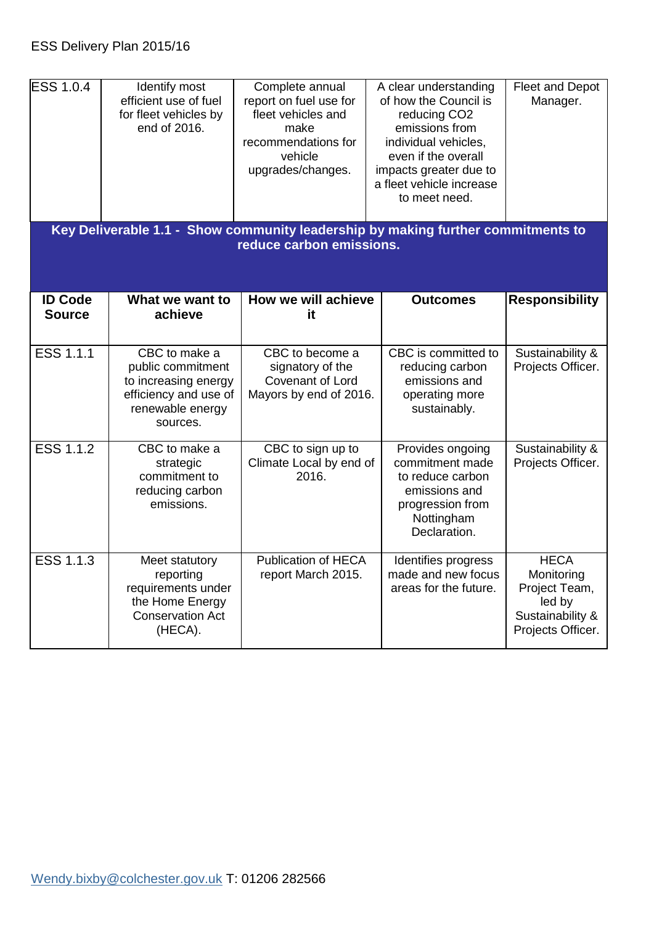| <b>ESS 1.0.4</b>                | Identify most<br>efficient use of fuel<br>for fleet vehicles by<br>end of 2016.                                     | Complete annual<br>report on fuel use for<br>fleet vehicles and<br>make<br>recommendations for<br>vehicle<br>upgrades/changes. | A clear understanding<br>of how the Council is<br>reducing CO <sub>2</sub><br>emissions from<br>individual vehicles,<br>even if the overall<br>impacts greater due to<br>a fleet vehicle increase<br>to meet need. | Fleet and Depot<br>Manager.                                                                   |
|---------------------------------|---------------------------------------------------------------------------------------------------------------------|--------------------------------------------------------------------------------------------------------------------------------|--------------------------------------------------------------------------------------------------------------------------------------------------------------------------------------------------------------------|-----------------------------------------------------------------------------------------------|
|                                 | Key Deliverable 1.1 - Show community leadership by making further commitments to                                    | reduce carbon emissions.                                                                                                       |                                                                                                                                                                                                                    |                                                                                               |
| <b>ID Code</b><br><b>Source</b> | What we want to<br>achieve                                                                                          | How we will achieve<br>it                                                                                                      | <b>Outcomes</b>                                                                                                                                                                                                    | <b>Responsibility</b>                                                                         |
| <b>ESS 1.1.1</b>                | CBC to make a<br>public commitment<br>to increasing energy<br>efficiency and use of<br>renewable energy<br>sources. | CBC to become a<br>signatory of the<br>Covenant of Lord<br>Mayors by end of 2016.                                              | CBC is committed to<br>reducing carbon<br>emissions and<br>operating more<br>sustainably.                                                                                                                          | Sustainability &<br>Projects Officer.                                                         |
| <b>ESS 1.1.2</b>                | CBC to make a<br>strategic<br>commitment to<br>reducing carbon<br>emissions.                                        | CBC to sign up to<br>Climate Local by end of<br>2016.                                                                          | Provides ongoing<br>commitment made<br>to reduce carbon<br>emissions and<br>progression from<br>Nottingham<br>Declaration.                                                                                         | Sustainability &<br>Projects Officer.                                                         |
| ESS 1.1.3                       | Meet statutory<br>reporting<br>requirements under<br>the Home Energy<br><b>Conservation Act</b><br>(HECA).          | <b>Publication of HECA</b><br>report March 2015.                                                                               | Identifies progress<br>made and new focus<br>areas for the future.                                                                                                                                                 | <b>HECA</b><br>Monitoring<br>Project Team,<br>led by<br>Sustainability &<br>Projects Officer. |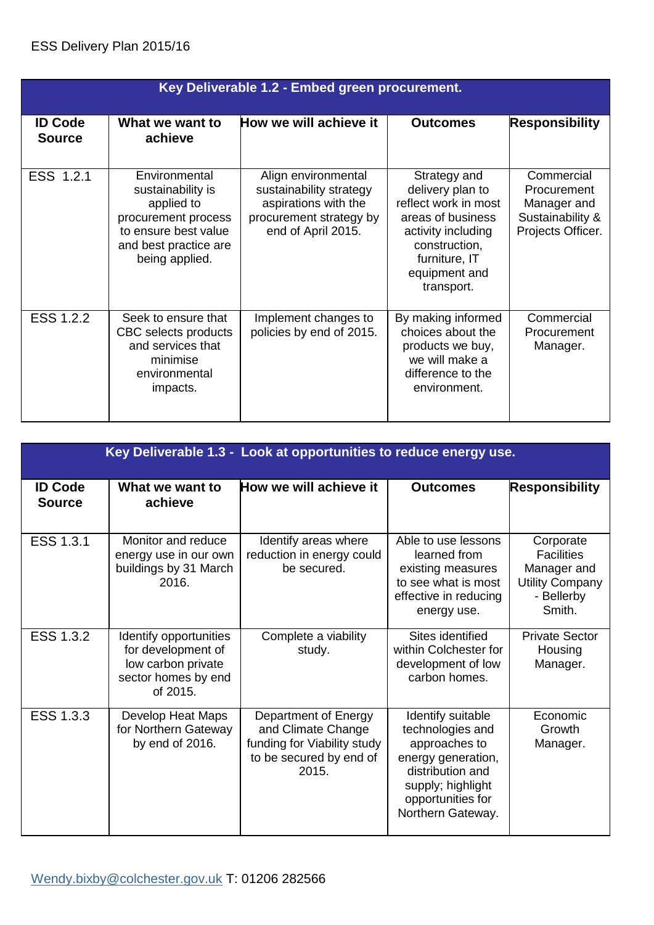|                                 | Key Deliverable 1.2 - Embed green procurement.                                                                                             |                                                                                                                         |                                                                                                                                                                      |                                                                                   |  |
|---------------------------------|--------------------------------------------------------------------------------------------------------------------------------------------|-------------------------------------------------------------------------------------------------------------------------|----------------------------------------------------------------------------------------------------------------------------------------------------------------------|-----------------------------------------------------------------------------------|--|
| <b>ID Code</b><br><b>Source</b> | What we want to<br>achieve                                                                                                                 | How we will achieve it                                                                                                  | <b>Outcomes</b>                                                                                                                                                      | <b>Responsibility</b>                                                             |  |
| ESS 1.2.1                       | Environmental<br>sustainability is<br>applied to<br>procurement process<br>to ensure best value<br>and best practice are<br>being applied. | Align environmental<br>sustainability strategy<br>aspirations with the<br>procurement strategy by<br>end of April 2015. | Strategy and<br>delivery plan to<br>reflect work in most<br>areas of business<br>activity including<br>construction,<br>furniture, IT<br>equipment and<br>transport. | Commercial<br>Procurement<br>Manager and<br>Sustainability &<br>Projects Officer. |  |
| ESS 1.2.2                       | Seek to ensure that<br>CBC selects products<br>and services that<br>minimise<br>environmental<br>impacts.                                  | Implement changes to<br>policies by end of 2015.                                                                        | By making informed<br>choices about the<br>products we buy,<br>we will make a<br>difference to the<br>environment.                                                   | Commercial<br>Procurement<br>Manager.                                             |  |

|                                 | Key Deliverable 1.3 - Look at opportunities to reduce energy use.                                     |                                                                                                               |                                                                                                                                                                 |                                                                                                 |  |
|---------------------------------|-------------------------------------------------------------------------------------------------------|---------------------------------------------------------------------------------------------------------------|-----------------------------------------------------------------------------------------------------------------------------------------------------------------|-------------------------------------------------------------------------------------------------|--|
| <b>ID Code</b><br><b>Source</b> | What we want to<br>achieve                                                                            | How we will achieve it                                                                                        | <b>Outcomes</b>                                                                                                                                                 | <b>Responsibility</b>                                                                           |  |
| ESS 1.3.1                       | Monitor and reduce<br>energy use in our own<br>buildings by 31 March<br>2016.                         | Identify areas where<br>reduction in energy could<br>be secured.                                              | Able to use lessons<br>learned from<br>existing measures<br>to see what is most<br>effective in reducing<br>energy use.                                         | Corporate<br><b>Facilities</b><br>Manager and<br><b>Utility Company</b><br>- Bellerby<br>Smith. |  |
| ESS 1.3.2                       | Identify opportunities<br>for development of<br>low carbon private<br>sector homes by end<br>of 2015. | Complete a viability<br>study.                                                                                | Sites identified<br>within Colchester for<br>development of low<br>carbon homes.                                                                                | <b>Private Sector</b><br>Housing<br>Manager.                                                    |  |
| ESS 1.3.3                       | Develop Heat Maps<br>for Northern Gateway<br>by end of 2016.                                          | Department of Energy<br>and Climate Change<br>funding for Viability study<br>to be secured by end of<br>2015. | Identify suitable<br>technologies and<br>approaches to<br>energy generation,<br>distribution and<br>supply; highlight<br>opportunities for<br>Northern Gateway. | Economic<br>Growth<br>Manager.                                                                  |  |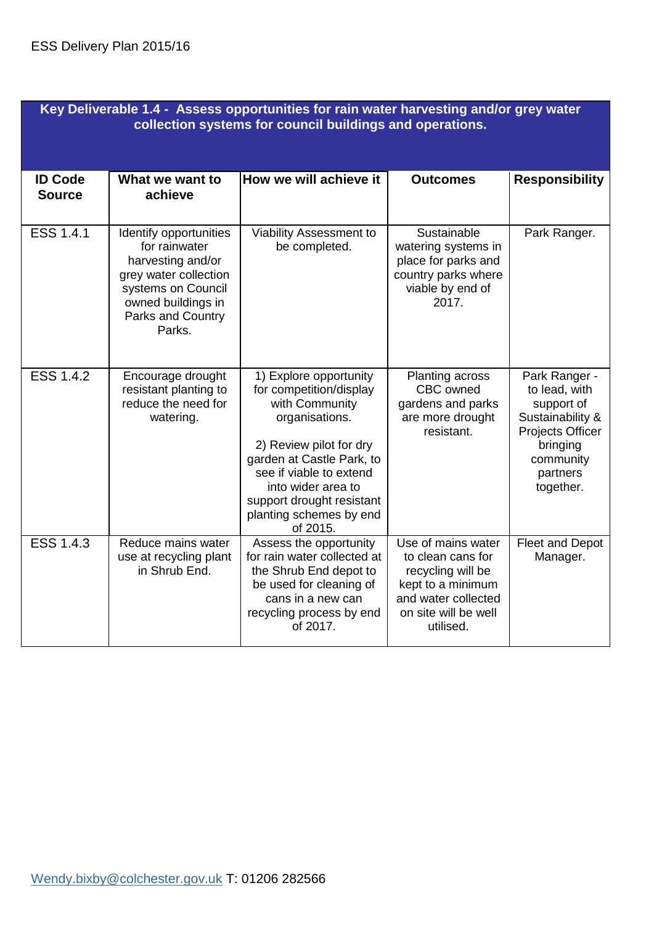| Key Deliverable 1.4 - Assess opportunities for rain water harvesting and/or grey water<br>collection systems for council buildings and operations. |                                                                                                                                                                  |                                                                                                                                                                                                                                                                    |                                                                                                                                               |                                                                                                                                               |
|----------------------------------------------------------------------------------------------------------------------------------------------------|------------------------------------------------------------------------------------------------------------------------------------------------------------------|--------------------------------------------------------------------------------------------------------------------------------------------------------------------------------------------------------------------------------------------------------------------|-----------------------------------------------------------------------------------------------------------------------------------------------|-----------------------------------------------------------------------------------------------------------------------------------------------|
| <b>ID Code</b><br><b>Source</b>                                                                                                                    | What we want to<br>achieve                                                                                                                                       | How we will achieve it                                                                                                                                                                                                                                             | <b>Outcomes</b>                                                                                                                               | <b>Responsibility</b>                                                                                                                         |
| ESS 1.4.1                                                                                                                                          | Identify opportunities<br>for rainwater<br>harvesting and/or<br>grey water collection<br>systems on Council<br>owned buildings in<br>Parks and Country<br>Parks. | Viability Assessment to<br>be completed.                                                                                                                                                                                                                           | Sustainable<br>watering systems in<br>place for parks and<br>country parks where<br>viable by end of<br>2017.                                 | Park Ranger.                                                                                                                                  |
| <b>ESS 1.4.2</b>                                                                                                                                   | Encourage drought<br>resistant planting to<br>reduce the need for<br>watering.                                                                                   | 1) Explore opportunity<br>for competition/display<br>with Community<br>organisations.<br>2) Review pilot for dry<br>garden at Castle Park, to<br>see if viable to extend<br>into wider area to<br>support drought resistant<br>planting schemes by end<br>of 2015. | Planting across<br>CBC owned<br>gardens and parks<br>are more drought<br>resistant.                                                           | Park Ranger -<br>to lead, with<br>support of<br>Sustainability &<br><b>Projects Officer</b><br>bringing<br>community<br>partners<br>together. |
| ESS 1.4.3                                                                                                                                          | Reduce mains water<br>use at recycling plant<br>in Shrub End.                                                                                                    | Assess the opportunity<br>for rain water collected at<br>the Shrub End depot to<br>be used for cleaning of<br>cans in a new can<br>recycling process by end<br>of 2017.                                                                                            | Use of mains water<br>to clean cans for<br>recycling will be<br>kept to a minimum<br>and water collected<br>on site will be well<br>utilised. | Fleet and Depot<br>Manager.                                                                                                                   |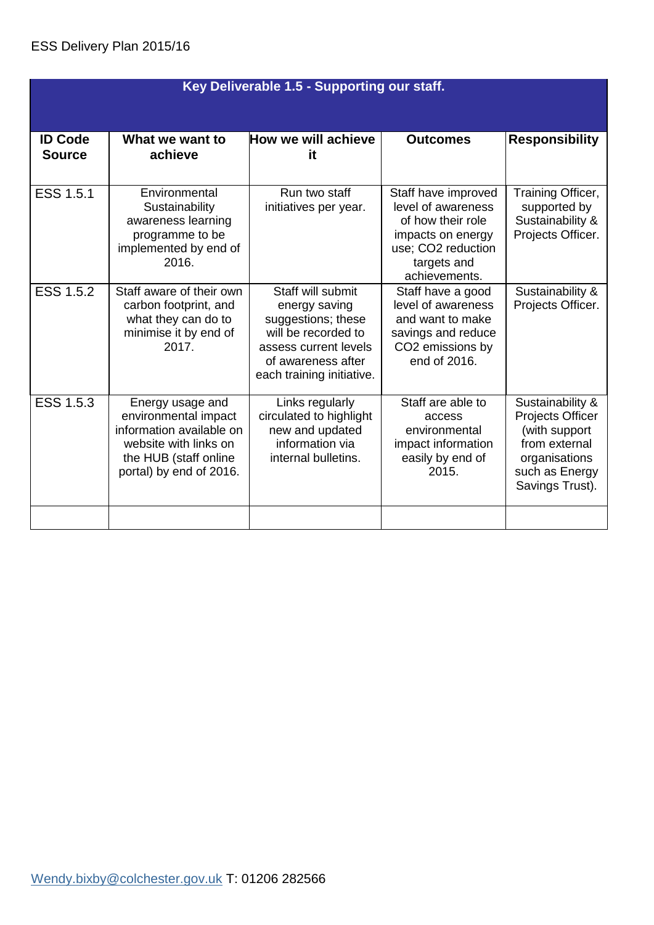|                                 | Key Deliverable 1.5 - Supporting our staff.                                                                                                       |                                                                                                                                                             |                                                                                                                                           |                                                                                                                                     |  |
|---------------------------------|---------------------------------------------------------------------------------------------------------------------------------------------------|-------------------------------------------------------------------------------------------------------------------------------------------------------------|-------------------------------------------------------------------------------------------------------------------------------------------|-------------------------------------------------------------------------------------------------------------------------------------|--|
| <b>ID Code</b><br><b>Source</b> | What we want to<br>achieve                                                                                                                        | How we will achieve<br>it                                                                                                                                   | <b>Outcomes</b>                                                                                                                           | <b>Responsibility</b>                                                                                                               |  |
| <b>ESS 1.5.1</b>                | Environmental<br>Sustainability<br>awareness learning<br>programme to be<br>implemented by end of<br>2016.                                        | Run two staff<br>initiatives per year.                                                                                                                      | Staff have improved<br>level of awareness<br>of how their role<br>impacts on energy<br>use; CO2 reduction<br>targets and<br>achievements. | Training Officer,<br>supported by<br>Sustainability &<br>Projects Officer.                                                          |  |
| <b>ESS 1.5.2</b>                | Staff aware of their own<br>carbon footprint, and<br>what they can do to<br>minimise it by end of<br>2017.                                        | Staff will submit<br>energy saving<br>suggestions; these<br>will be recorded to<br>assess current levels<br>of awareness after<br>each training initiative. | Staff have a good<br>level of awareness<br>and want to make<br>savings and reduce<br>CO2 emissions by<br>end of 2016.                     | Sustainability &<br>Projects Officer.                                                                                               |  |
| ESS 1.5.3                       | Energy usage and<br>environmental impact<br>information available on<br>website with links on<br>the HUB (staff online<br>portal) by end of 2016. | Links regularly<br>circulated to highlight<br>new and updated<br>information via<br>internal bulletins.                                                     | Staff are able to<br>access<br>environmental<br>impact information<br>easily by end of<br>2015.                                           | Sustainability &<br><b>Projects Officer</b><br>(with support<br>from external<br>organisations<br>such as Energy<br>Savings Trust). |  |
|                                 |                                                                                                                                                   |                                                                                                                                                             |                                                                                                                                           |                                                                                                                                     |  |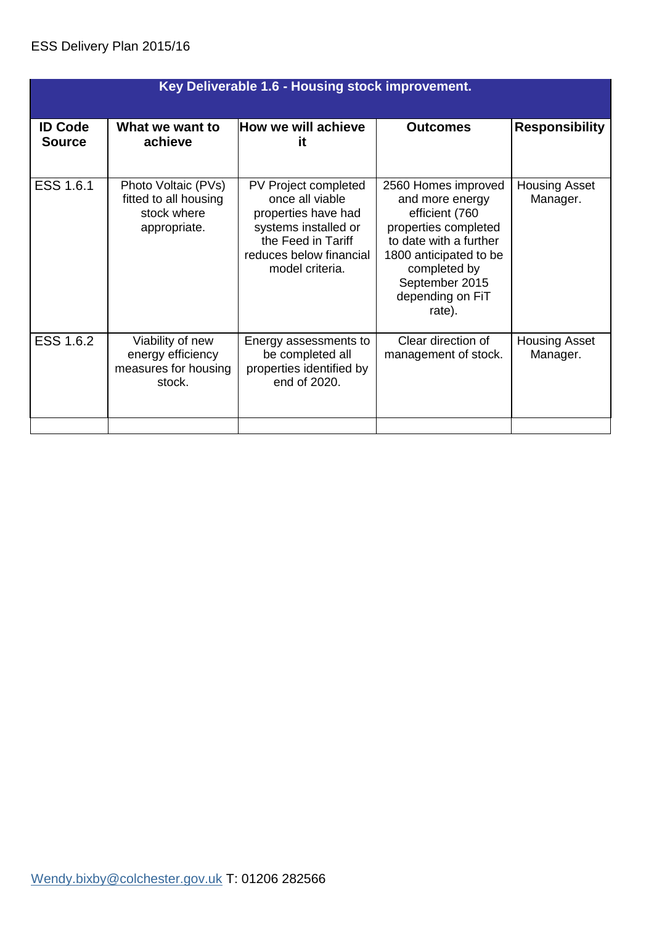|                                 | Key Deliverable 1.6 - Housing stock improvement.                            |                                                                                                                                                            |                                                                                                                                                                                                      |                                  |  |
|---------------------------------|-----------------------------------------------------------------------------|------------------------------------------------------------------------------------------------------------------------------------------------------------|------------------------------------------------------------------------------------------------------------------------------------------------------------------------------------------------------|----------------------------------|--|
| <b>ID Code</b><br><b>Source</b> | What we want to<br>achieve                                                  | How we will achieve<br>it                                                                                                                                  | <b>Outcomes</b>                                                                                                                                                                                      | <b>Responsibility</b>            |  |
| ESS 1.6.1                       | Photo Voltaic (PVs)<br>fitted to all housing<br>stock where<br>appropriate. | PV Project completed<br>once all viable<br>properties have had<br>systems installed or<br>the Feed in Tariff<br>reduces below financial<br>model criteria. | 2560 Homes improved<br>and more energy<br>efficient (760<br>properties completed<br>to date with a further<br>1800 anticipated to be<br>completed by<br>September 2015<br>depending on FiT<br>rate). | <b>Housing Asset</b><br>Manager. |  |
| <b>ESS 1.6.2</b>                | Viability of new<br>energy efficiency<br>measures for housing<br>stock.     | Energy assessments to<br>be completed all<br>properties identified by<br>end of 2020.                                                                      | Clear direction of<br>management of stock.                                                                                                                                                           | <b>Housing Asset</b><br>Manager. |  |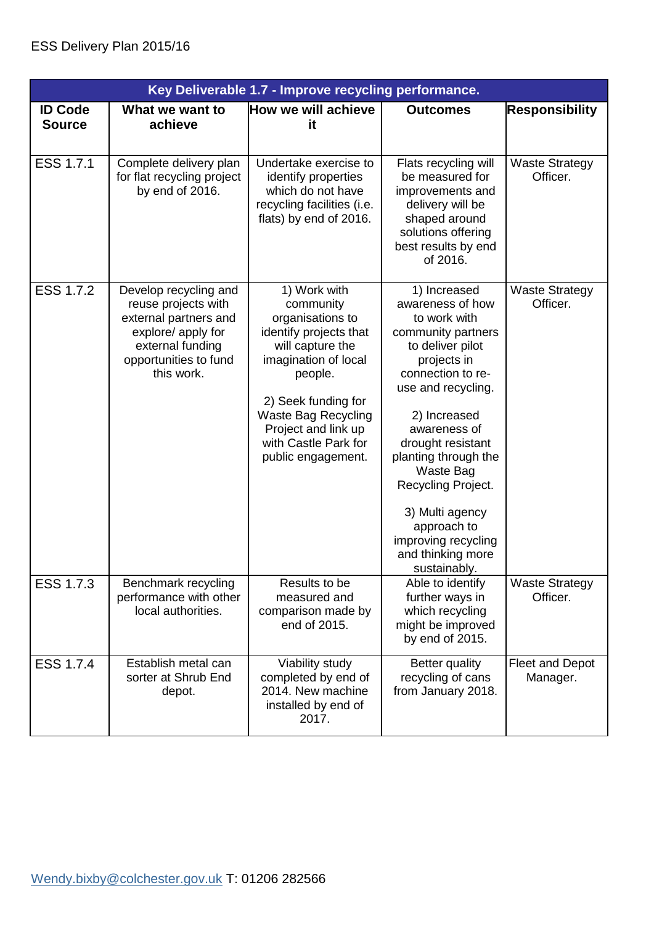|                                 | Key Deliverable 1.7 - Improve recycling performance.                                                                                                   |                                                                                                                                                                                                                                                          |                                                                                                                                                                                                                                                                                                                                                                    |                                    |
|---------------------------------|--------------------------------------------------------------------------------------------------------------------------------------------------------|----------------------------------------------------------------------------------------------------------------------------------------------------------------------------------------------------------------------------------------------------------|--------------------------------------------------------------------------------------------------------------------------------------------------------------------------------------------------------------------------------------------------------------------------------------------------------------------------------------------------------------------|------------------------------------|
| <b>ID Code</b><br><b>Source</b> | What we want to<br>achieve                                                                                                                             | How we will achieve<br>it                                                                                                                                                                                                                                | <b>Outcomes</b>                                                                                                                                                                                                                                                                                                                                                    | <b>Responsibility</b>              |
| ESS 1.7.1                       | Complete delivery plan<br>for flat recycling project<br>by end of 2016.                                                                                | Undertake exercise to<br>identify properties<br>which do not have<br>recycling facilities (i.e.<br>flats) by end of 2016.                                                                                                                                | Flats recycling will<br>be measured for<br>improvements and<br>delivery will be<br>shaped around<br>solutions offering<br>best results by end<br>of 2016.                                                                                                                                                                                                          | <b>Waste Strategy</b><br>Officer.  |
| ESS 1.7.2                       | Develop recycling and<br>reuse projects with<br>external partners and<br>explore/ apply for<br>external funding<br>opportunities to fund<br>this work. | 1) Work with<br>community<br>organisations to<br>identify projects that<br>will capture the<br>imagination of local<br>people.<br>2) Seek funding for<br><b>Waste Bag Recycling</b><br>Project and link up<br>with Castle Park for<br>public engagement. | 1) Increased<br>awareness of how<br>to work with<br>community partners<br>to deliver pilot<br>projects in<br>connection to re-<br>use and recycling.<br>2) Increased<br>awareness of<br>drought resistant<br>planting through the<br>Waste Bag<br>Recycling Project.<br>3) Multi agency<br>approach to<br>improving recycling<br>and thinking more<br>sustainably. | <b>Waste Strategy</b><br>Officer.  |
| ESS 1.7.3                       | Benchmark recycling<br>performance with other<br>local authorities.                                                                                    | Results to be<br>measured and<br>comparison made by<br>end of 2015.                                                                                                                                                                                      | Able to identify<br>further ways in<br>which recycling<br>might be improved<br>by end of 2015.                                                                                                                                                                                                                                                                     | <b>Waste Strategy</b><br>Officer.  |
| ESS 1.7.4                       | Establish metal can<br>sorter at Shrub End<br>depot.                                                                                                   | Viability study<br>completed by end of<br>2014. New machine<br>installed by end of<br>2017.                                                                                                                                                              | Better quality<br>recycling of cans<br>from January 2018.                                                                                                                                                                                                                                                                                                          | <b>Fleet and Depot</b><br>Manager. |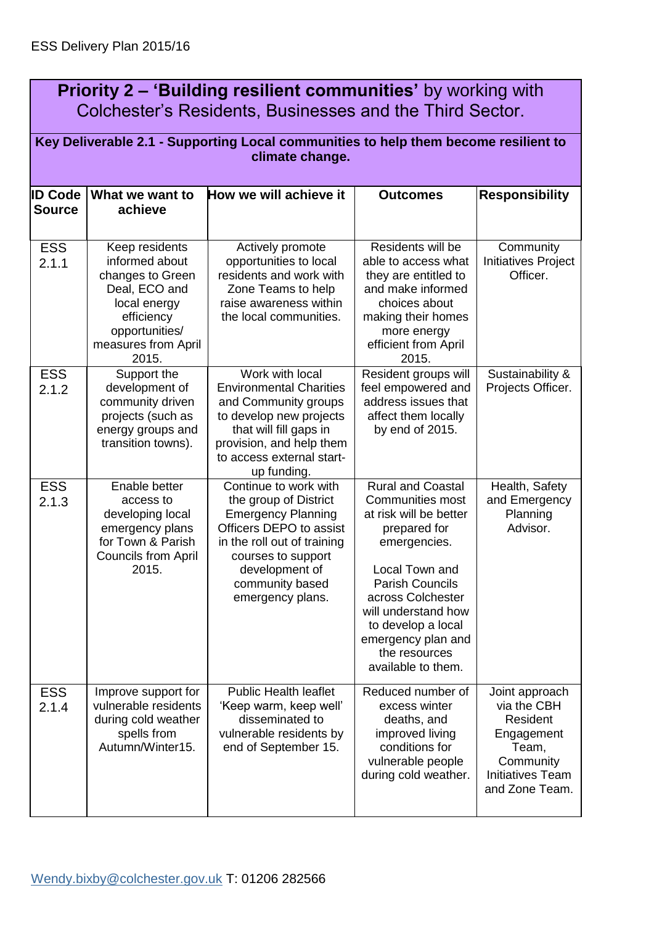| <b>Priority 2 – 'Building resilient communities'</b> by working with |  |
|----------------------------------------------------------------------|--|
| Colchester's Residents, Businesses and the Third Sector.             |  |

|                                 | Key Deliverable 2.1 - Supporting Local communities to help them become resilient to<br>climate change.                                                |                                                                                                                                                                                                                      |                                                                                                                                                                                                                                                                                          |                                                                                                                            |  |
|---------------------------------|-------------------------------------------------------------------------------------------------------------------------------------------------------|----------------------------------------------------------------------------------------------------------------------------------------------------------------------------------------------------------------------|------------------------------------------------------------------------------------------------------------------------------------------------------------------------------------------------------------------------------------------------------------------------------------------|----------------------------------------------------------------------------------------------------------------------------|--|
| <b>ID Code</b><br><b>Source</b> | What we want to<br>achieve                                                                                                                            | How we will achieve it                                                                                                                                                                                               | <b>Outcomes</b>                                                                                                                                                                                                                                                                          | <b>Responsibility</b>                                                                                                      |  |
| <b>ESS</b><br>2.1.1             | Keep residents<br>informed about<br>changes to Green<br>Deal, ECO and<br>local energy<br>efficiency<br>opportunities/<br>measures from April<br>2015. | Actively promote<br>opportunities to local<br>residents and work with<br>Zone Teams to help<br>raise awareness within<br>the local communities.                                                                      | Residents will be<br>able to access what<br>they are entitled to<br>and make informed<br>choices about<br>making their homes<br>more energy<br>efficient from April<br>2015.                                                                                                             | Community<br><b>Initiatives Project</b><br>Officer.                                                                        |  |
| <b>ESS</b><br>2.1.2             | Support the<br>development of<br>community driven<br>projects (such as<br>energy groups and<br>transition towns).                                     | Work with local<br><b>Environmental Charities</b><br>and Community groups<br>to develop new projects<br>that will fill gaps in<br>provision, and help them<br>to access external start-<br>up funding.               | Resident groups will<br>feel empowered and<br>address issues that<br>affect them locally<br>by end of 2015.                                                                                                                                                                              | Sustainability &<br>Projects Officer.                                                                                      |  |
| <b>ESS</b><br>2.1.3             | Enable better<br>access to<br>developing local<br>emergency plans<br>for Town & Parish<br><b>Councils from April</b><br>2015.                         | Continue to work with<br>the group of District<br><b>Emergency Planning</b><br>Officers DEPO to assist<br>in the roll out of training<br>courses to support<br>development of<br>community based<br>emergency plans. | <b>Rural and Coastal</b><br><b>Communities most</b><br>at risk will be better<br>prepared for<br>emergencies.<br>Local Town and<br><b>Parish Councils</b><br>across Colchester<br>will understand how<br>to develop a local<br>emergency plan and<br>the resources<br>available to them. | Health, Safety<br>and Emergency<br>Planning<br>Advisor.                                                                    |  |
| <b>ESS</b><br>2.1.4             | Improve support for<br>vulnerable residents<br>during cold weather<br>spells from<br>Autumn/Winter15.                                                 | <b>Public Health leaflet</b><br>'Keep warm, keep well'<br>disseminated to<br>vulnerable residents by<br>end of September 15.                                                                                         | Reduced number of<br>excess winter<br>deaths, and<br>improved living<br>conditions for<br>vulnerable people<br>during cold weather.                                                                                                                                                      | Joint approach<br>via the CBH<br>Resident<br>Engagement<br>Team,<br>Community<br><b>Initiatives Team</b><br>and Zone Team. |  |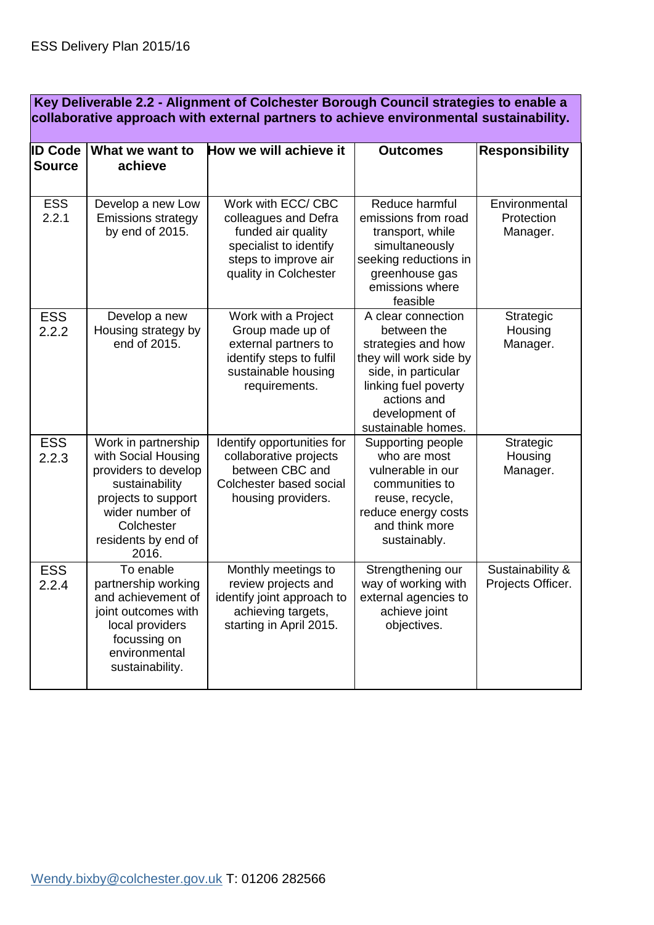|  | Key Deliverable 2.2 - Alignment of Colchester Borough Council strategies to enable a<br>collaborative approach with external partners to achieve environmental sustainability. |                                                                                                                                                                              |                                                                                                                                             |                                                                                                                                                                                         |                                         |
|--|--------------------------------------------------------------------------------------------------------------------------------------------------------------------------------|------------------------------------------------------------------------------------------------------------------------------------------------------------------------------|---------------------------------------------------------------------------------------------------------------------------------------------|-----------------------------------------------------------------------------------------------------------------------------------------------------------------------------------------|-----------------------------------------|
|  | <b>ID Code</b><br><b>Source</b>                                                                                                                                                | What we want to<br>achieve                                                                                                                                                   | How we will achieve it                                                                                                                      | <b>Outcomes</b>                                                                                                                                                                         | <b>Responsibility</b>                   |
|  | <b>ESS</b><br>2.2.1                                                                                                                                                            | Develop a new Low<br><b>Emissions strategy</b><br>by end of 2015.                                                                                                            | Work with ECC/ CBC<br>colleagues and Defra<br>funded air quality<br>specialist to identify<br>steps to improve air<br>quality in Colchester | Reduce harmful<br>emissions from road<br>transport, while<br>simultaneously<br>seeking reductions in<br>greenhouse gas<br>emissions where<br>feasible                                   | Environmental<br>Protection<br>Manager. |
|  | <b>ESS</b><br>2.2.2                                                                                                                                                            | Develop a new<br>Housing strategy by<br>end of 2015.                                                                                                                         | Work with a Project<br>Group made up of<br>external partners to<br>identify steps to fulfil<br>sustainable housing<br>requirements.         | A clear connection<br>between the<br>strategies and how<br>they will work side by<br>side, in particular<br>linking fuel poverty<br>actions and<br>development of<br>sustainable homes. | Strategic<br>Housing<br>Manager.        |
|  | <b>ESS</b><br>2.2.3                                                                                                                                                            | Work in partnership<br>with Social Housing<br>providers to develop<br>sustainability<br>projects to support<br>wider number of<br>Colchester<br>residents by end of<br>2016. | Identify opportunities for<br>collaborative projects<br>between CBC and<br>Colchester based social<br>housing providers.                    | Supporting people<br>who are most<br>vulnerable in our<br>communities to<br>reuse, recycle,<br>reduce energy costs<br>and think more<br>sustainably.                                    | Strategic<br>Housing<br>Manager.        |
|  | <b>ESS</b><br>2.2.4                                                                                                                                                            | To enable<br>partnership working<br>and achievement of<br>joint outcomes with<br>local providers<br>focussing on                                                             | Monthly meetings to<br>review projects and<br>identify joint approach to<br>achieving targets,<br>starting in April 2015.                   | Strengthening our<br>way of working with<br>external agencies to<br>achieve joint<br>objectives.                                                                                        | Sustainability &<br>Projects Officer.   |

environmental sustainability.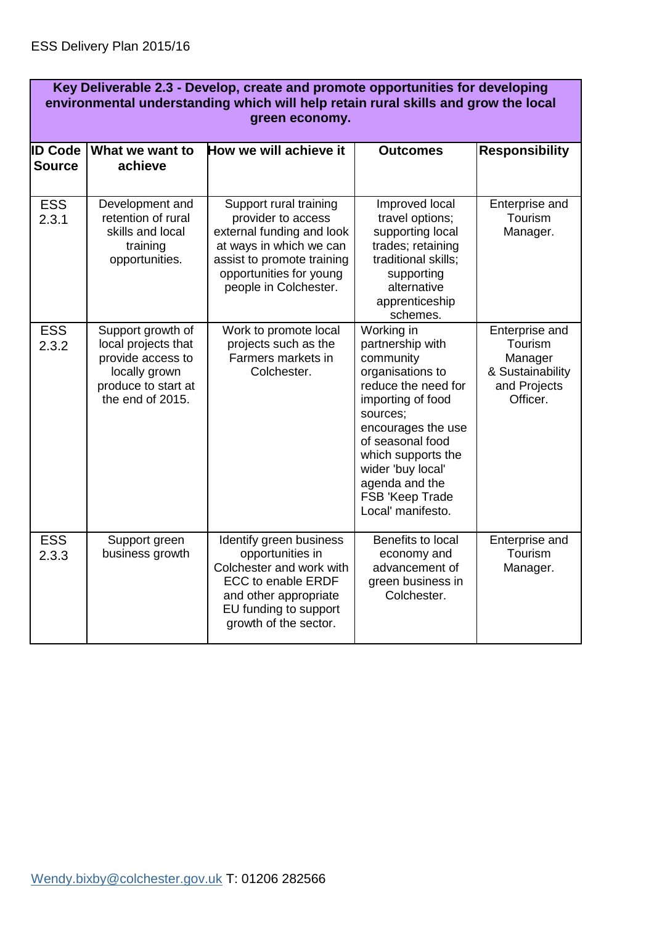|                                 | Key Deliverable 2.3 - Develop, create and promote opportunities for developing<br>environmental understanding which will help retain rural skills and grow the local<br>green economy. |                                                                                                                                                                                        |                                                                                                                                                                                                                                                                        |                                                                                      |  |
|---------------------------------|----------------------------------------------------------------------------------------------------------------------------------------------------------------------------------------|----------------------------------------------------------------------------------------------------------------------------------------------------------------------------------------|------------------------------------------------------------------------------------------------------------------------------------------------------------------------------------------------------------------------------------------------------------------------|--------------------------------------------------------------------------------------|--|
| <b>ID Code</b><br><b>Source</b> | What we want to<br>achieve                                                                                                                                                             | How we will achieve it                                                                                                                                                                 | <b>Outcomes</b>                                                                                                                                                                                                                                                        | <b>Responsibility</b>                                                                |  |
|                                 |                                                                                                                                                                                        |                                                                                                                                                                                        |                                                                                                                                                                                                                                                                        |                                                                                      |  |
| <b>ESS</b><br>2.3.1             | Development and<br>retention of rural<br>skills and local<br>training<br>opportunities.                                                                                                | Support rural training<br>provider to access<br>external funding and look<br>at ways in which we can<br>assist to promote training<br>opportunities for young<br>people in Colchester. | Improved local<br>travel options;<br>supporting local<br>trades; retaining<br>traditional skills;<br>supporting<br>alternative<br>apprenticeship<br>schemes.                                                                                                           | Enterprise and<br>Tourism<br>Manager.                                                |  |
| <b>ESS</b><br>2.3.2             | Support growth of<br>local projects that<br>provide access to<br>locally grown<br>produce to start at<br>the end of 2015.                                                              | Work to promote local<br>projects such as the<br>Farmers markets in<br>Colchester.                                                                                                     | Working in<br>partnership with<br>community<br>organisations to<br>reduce the need for<br>importing of food<br>sources;<br>encourages the use<br>of seasonal food<br>which supports the<br>wider 'buy local'<br>agenda and the<br>FSB 'Keep Trade<br>Local' manifesto. | Enterprise and<br>Tourism<br>Manager<br>& Sustainability<br>and Projects<br>Officer. |  |
| <b>ESS</b><br>2.3.3             | Support green<br>business growth                                                                                                                                                       | Identify green business<br>opportunities in<br>Colchester and work with<br><b>ECC to enable ERDF</b><br>and other appropriate<br>EU funding to support<br>growth of the sector.        | Benefits to local<br>economy and<br>advancement of<br>green business in<br>Colchester.                                                                                                                                                                                 | Enterprise and<br>Tourism<br>Manager.                                                |  |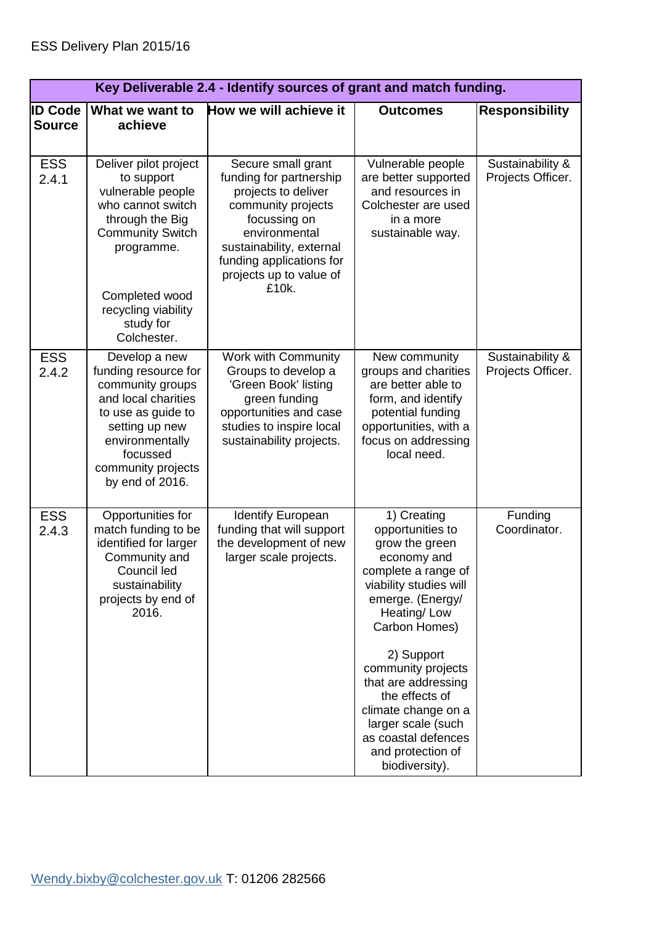|                                 | Key Deliverable 2.4 - Identify sources of grant and match funding.                                                                                                                                             |                                                                                                                                                                                                                         |                                                                                                                                                                                                                                                                                                                                                               |                                       |
|---------------------------------|----------------------------------------------------------------------------------------------------------------------------------------------------------------------------------------------------------------|-------------------------------------------------------------------------------------------------------------------------------------------------------------------------------------------------------------------------|---------------------------------------------------------------------------------------------------------------------------------------------------------------------------------------------------------------------------------------------------------------------------------------------------------------------------------------------------------------|---------------------------------------|
| <b>ID Code</b><br><b>Source</b> | What we want to<br>achieve                                                                                                                                                                                     | How we will achieve it                                                                                                                                                                                                  | <b>Outcomes</b>                                                                                                                                                                                                                                                                                                                                               | <b>Responsibility</b>                 |
| <b>ESS</b><br>2.4.1             | Deliver pilot project<br>to support<br>vulnerable people<br>who cannot switch<br>through the Big<br><b>Community Switch</b><br>programme.<br>Completed wood<br>recycling viability<br>study for<br>Colchester. | Secure small grant<br>funding for partnership<br>projects to deliver<br>community projects<br>focussing on<br>environmental<br>sustainability, external<br>funding applications for<br>projects up to value of<br>£10k. | Vulnerable people<br>are better supported<br>and resources in<br>Colchester are used<br>in a more<br>sustainable way.                                                                                                                                                                                                                                         | Sustainability &<br>Projects Officer. |
| <b>ESS</b><br>2.4.2             | Develop a new<br>funding resource for<br>community groups<br>and local charities<br>to use as guide to<br>setting up new<br>environmentally<br>focussed<br>community projects<br>by end of 2016.               | Work with Community<br>Groups to develop a<br>'Green Book' listing<br>green funding<br>opportunities and case<br>studies to inspire local<br>sustainability projects.                                                   | New community<br>groups and charities<br>are better able to<br>form, and identify<br>potential funding<br>opportunities, with a<br>focus on addressing<br>local need.                                                                                                                                                                                         | Sustainability &<br>Projects Officer. |
| <b>ESS</b><br>2.4.3             | Opportunities for<br>match funding to be<br>identified for larger<br>Community and<br>Council led<br>sustainability<br>projects by end of<br>2016.                                                             | <b>Identify European</b><br>funding that will support<br>the development of new<br>larger scale projects.                                                                                                               | 1) Creating<br>opportunities to<br>grow the green<br>economy and<br>complete a range of<br>viability studies will<br>emerge. (Energy/<br>Heating/Low<br>Carbon Homes)<br>2) Support<br>community projects<br>that are addressing<br>the effects of<br>climate change on a<br>larger scale (such<br>as coastal defences<br>and protection of<br>biodiversity). | Funding<br>Coordinator.               |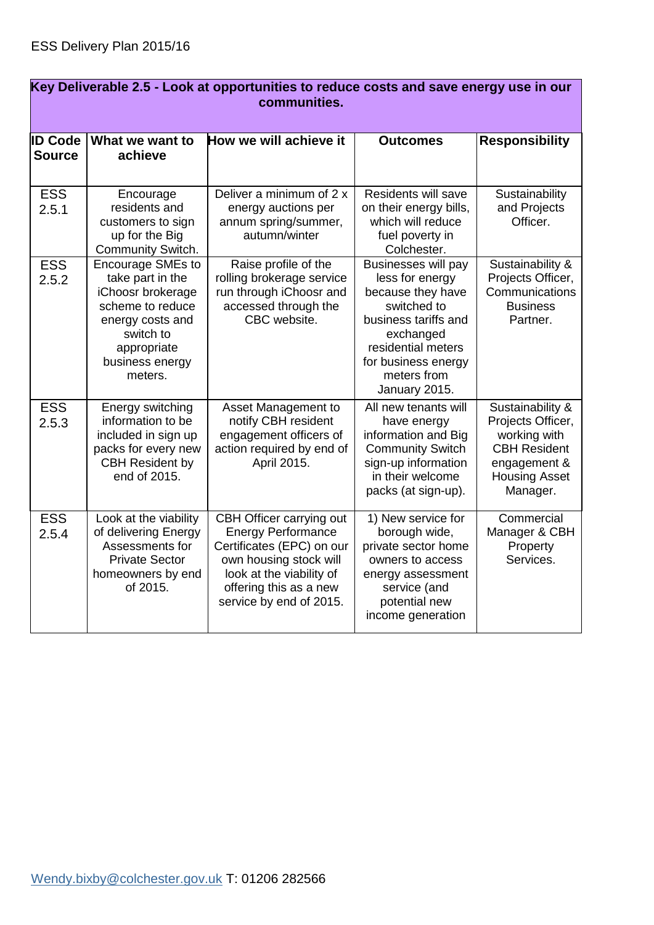| <u>Key Deliverable 2.5 - Look at opportunities to requce costs and save energy use in our</u><br>communities. |                                                                                                                                                                     |                                                                                                                                                                                               |                                                                                                                                                                                              |                                                                                                                                  |  |
|---------------------------------------------------------------------------------------------------------------|---------------------------------------------------------------------------------------------------------------------------------------------------------------------|-----------------------------------------------------------------------------------------------------------------------------------------------------------------------------------------------|----------------------------------------------------------------------------------------------------------------------------------------------------------------------------------------------|----------------------------------------------------------------------------------------------------------------------------------|--|
| <b>ID Code</b><br><b>Source</b>                                                                               | What we want to<br>achieve                                                                                                                                          | How we will achieve it                                                                                                                                                                        | <b>Outcomes</b>                                                                                                                                                                              | <b>Responsibility</b>                                                                                                            |  |
| <b>ESS</b><br>2.5.1                                                                                           | Encourage<br>residents and<br>customers to sign<br>up for the Big<br>Community Switch.                                                                              | Deliver a minimum of 2 x<br>energy auctions per<br>annum spring/summer,<br>autumn/winter                                                                                                      | Residents will save<br>on their energy bills,<br>which will reduce<br>fuel poverty in<br>Colchester.                                                                                         | Sustainability<br>and Projects<br>Officer.                                                                                       |  |
| <b>ESS</b><br>2.5.2                                                                                           | <b>Encourage SMEs to</b><br>take part in the<br>iChoosr brokerage<br>scheme to reduce<br>energy costs and<br>switch to<br>appropriate<br>business energy<br>meters. | Raise profile of the<br>rolling brokerage service<br>run through iChoosr and<br>accessed through the<br>CBC website.                                                                          | Businesses will pay<br>less for energy<br>because they have<br>switched to<br>business tariffs and<br>exchanged<br>residential meters<br>for business energy<br>meters from<br>January 2015. | Sustainability &<br>Projects Officer,<br>Communications<br><b>Business</b><br>Partner.                                           |  |
| <b>ESS</b><br>2.5.3                                                                                           | Energy switching<br>information to be<br>included in sign up<br>packs for every new<br><b>CBH Resident by</b><br>end of 2015.                                       | Asset Management to<br>notify CBH resident<br>engagement officers of<br>action required by end of<br>April 2015.                                                                              | All new tenants will<br>have energy<br>information and Big<br><b>Community Switch</b><br>sign-up information<br>in their welcome<br>packs (at sign-up).                                      | Sustainability &<br>Projects Officer,<br>working with<br><b>CBH Resident</b><br>engagement &<br><b>Housing Asset</b><br>Manager. |  |
| <b>ESS</b><br>2.5.4                                                                                           | Look at the viability<br>of delivering Energy<br>Assessments for<br><b>Private Sector</b><br>homeowners by end<br>of 2015.                                          | CBH Officer carrying out<br><b>Energy Performance</b><br>Certificates (EPC) on our<br>own housing stock will<br>look at the viability of<br>offering this as a new<br>service by end of 2015. | 1) New service for<br>borough wide,<br>private sector home<br>owners to access<br>energy assessment<br>service (and<br>potential new<br>income generation                                    | Commercial<br>Manager & CBH<br>Property<br>Services.                                                                             |  |

## **Key Deliverable 2.5 - Look at opportunities to reduce costs and save energy use in our**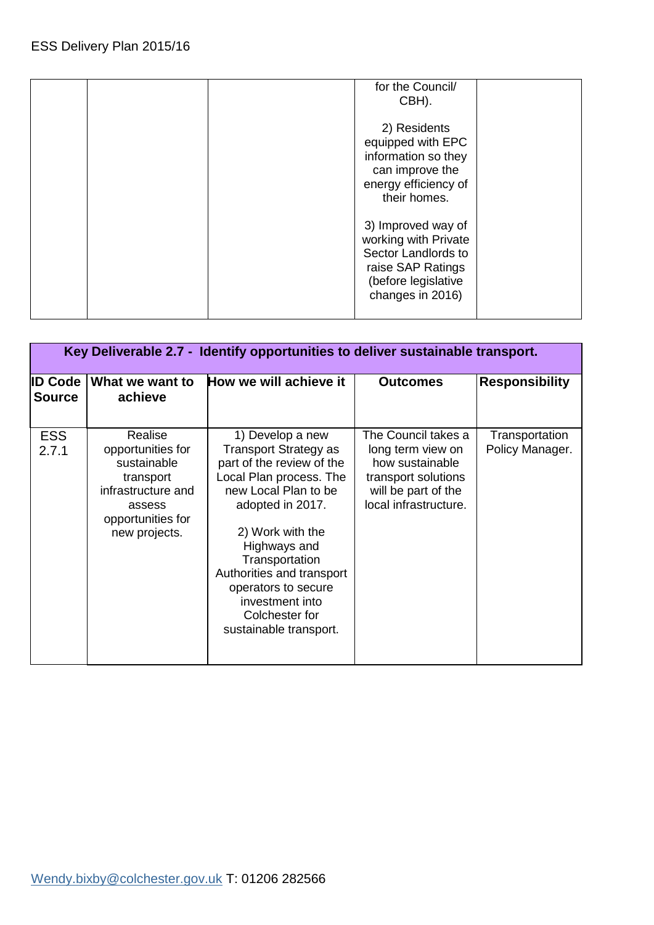| for the Council/<br>CBH).                                                                                                         |  |
|-----------------------------------------------------------------------------------------------------------------------------------|--|
| 2) Residents<br>equipped with EPC<br>information so they<br>can improve the<br>energy efficiency of<br>their homes.               |  |
| 3) Improved way of<br>working with Private<br>Sector Landlords to<br>raise SAP Ratings<br>(before legislative<br>changes in 2016) |  |

| Key Deliverable 2.7 - Identify opportunities to deliver sustainable transport. |                                                                                                                                |                                                                                                                                                                                                                                                                                                                        |                                                                                                                                    |                                   |  |
|--------------------------------------------------------------------------------|--------------------------------------------------------------------------------------------------------------------------------|------------------------------------------------------------------------------------------------------------------------------------------------------------------------------------------------------------------------------------------------------------------------------------------------------------------------|------------------------------------------------------------------------------------------------------------------------------------|-----------------------------------|--|
| <b>ID Code</b><br><b>Source</b>                                                | What we want to<br>achieve                                                                                                     | How we will achieve it                                                                                                                                                                                                                                                                                                 | <b>Outcomes</b>                                                                                                                    | <b>Responsibility</b>             |  |
| <b>ESS</b><br>2.7.1                                                            | Realise<br>opportunities for<br>sustainable<br>transport<br>infrastructure and<br>assess<br>opportunities for<br>new projects. | 1) Develop a new<br>Transport Strategy as<br>part of the review of the<br>Local Plan process. The<br>new Local Plan to be<br>adopted in 2017.<br>2) Work with the<br>Highways and<br>Transportation<br>Authorities and transport<br>operators to secure<br>investment into<br>Colchester for<br>sustainable transport. | The Council takes a<br>long term view on<br>how sustainable<br>transport solutions<br>will be part of the<br>local infrastructure. | Transportation<br>Policy Manager. |  |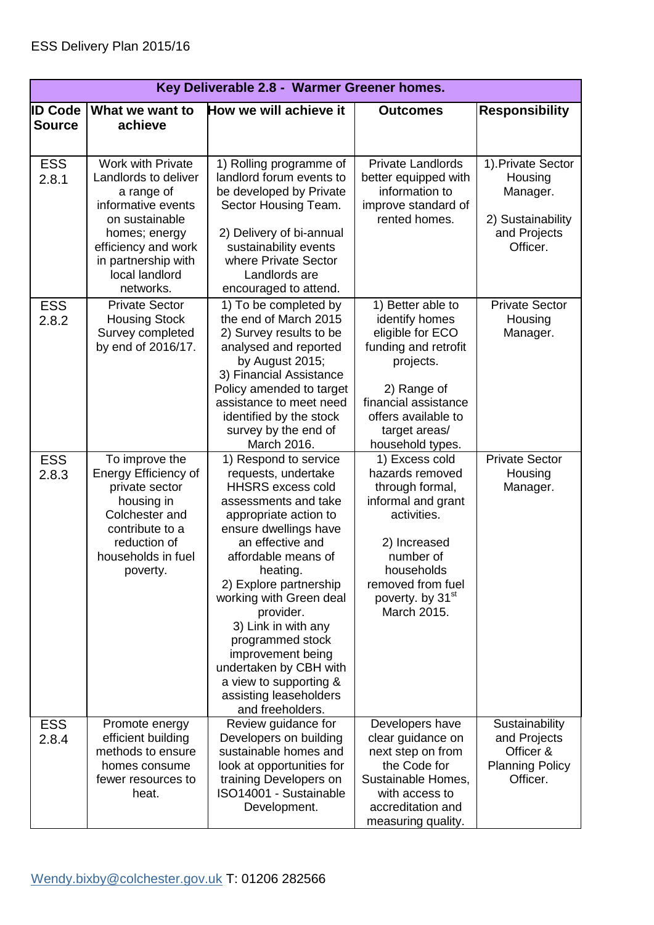| Key Deliverable 2.8 - Warmer Greener homes. |                                                                                                                                                               |                                                                                                                                                                                                                                                                                                                                                                                                                           |                                                                                                                                                                                                          |                                                                                   |
|---------------------------------------------|---------------------------------------------------------------------------------------------------------------------------------------------------------------|---------------------------------------------------------------------------------------------------------------------------------------------------------------------------------------------------------------------------------------------------------------------------------------------------------------------------------------------------------------------------------------------------------------------------|----------------------------------------------------------------------------------------------------------------------------------------------------------------------------------------------------------|-----------------------------------------------------------------------------------|
| <b>ID Code</b>                              | What we want to                                                                                                                                               | How we will achieve it                                                                                                                                                                                                                                                                                                                                                                                                    | <b>Outcomes</b>                                                                                                                                                                                          | <b>Responsibility</b>                                                             |
| <b>Source</b>                               | achieve                                                                                                                                                       |                                                                                                                                                                                                                                                                                                                                                                                                                           |                                                                                                                                                                                                          |                                                                                   |
| <b>ESS</b>                                  | <b>Work with Private</b>                                                                                                                                      | 1) Rolling programme of                                                                                                                                                                                                                                                                                                                                                                                                   | <b>Private Landlords</b>                                                                                                                                                                                 | 1). Private Sector                                                                |
| 2.8.1                                       | Landlords to deliver<br>a range of<br>informative events                                                                                                      | landlord forum events to<br>be developed by Private<br>Sector Housing Team.                                                                                                                                                                                                                                                                                                                                               | better equipped with<br>information to<br>improve standard of                                                                                                                                            | Housing<br>Manager.                                                               |
|                                             | on sustainable<br>homes; energy                                                                                                                               | 2) Delivery of bi-annual                                                                                                                                                                                                                                                                                                                                                                                                  | rented homes.                                                                                                                                                                                            | 2) Sustainability<br>and Projects                                                 |
|                                             | efficiency and work<br>in partnership with<br>local landlord                                                                                                  | sustainability events<br>where Private Sector<br>Landlords are                                                                                                                                                                                                                                                                                                                                                            |                                                                                                                                                                                                          | Officer.                                                                          |
|                                             | networks.                                                                                                                                                     | encouraged to attend.                                                                                                                                                                                                                                                                                                                                                                                                     |                                                                                                                                                                                                          |                                                                                   |
| <b>ESS</b><br>2.8.2                         | <b>Private Sector</b><br><b>Housing Stock</b><br>Survey completed<br>by end of 2016/17.                                                                       | 1) To be completed by<br>the end of March 2015<br>2) Survey results to be<br>analysed and reported<br>by August 2015;                                                                                                                                                                                                                                                                                                     | 1) Better able to<br>identify homes<br>eligible for ECO<br>funding and retrofit<br>projects.                                                                                                             | <b>Private Sector</b><br>Housing<br>Manager.                                      |
|                                             |                                                                                                                                                               | 3) Financial Assistance<br>Policy amended to target<br>assistance to meet need                                                                                                                                                                                                                                                                                                                                            | 2) Range of<br>financial assistance                                                                                                                                                                      |                                                                                   |
|                                             |                                                                                                                                                               | identified by the stock<br>survey by the end of<br>March 2016.                                                                                                                                                                                                                                                                                                                                                            | offers available to<br>target areas/<br>household types.                                                                                                                                                 |                                                                                   |
| <b>ESS</b><br>2.8.3                         | To improve the<br>Energy Efficiency of<br>private sector<br>housing in<br>Colchester and<br>contribute to a<br>reduction of<br>households in fuel<br>poverty. | 1) Respond to service<br>requests, undertake<br><b>HHSRS excess cold</b><br>assessments and take<br>appropriate action to<br>ensure dwellings have<br>an effective and<br>affordable means of<br>heating.<br>2) Explore partnership<br>working with Green deal<br>provider.<br>3) Link in with any<br>programmed stock<br>improvement being<br>undertaken by CBH with<br>a view to supporting &<br>assisting leaseholders | 1) Excess cold<br>hazards removed<br>through formal,<br>informal and grant<br>activities.<br>2) Increased<br>number of<br>households<br>removed from fuel<br>poverty. by 31 <sup>st</sup><br>March 2015. | <b>Private Sector</b><br>Housing<br>Manager.                                      |
| <b>ESS</b><br>2.8.4                         | Promote energy<br>efficient building<br>methods to ensure<br>homes consume<br>fewer resources to<br>heat.                                                     | and freeholders.<br>Review guidance for<br>Developers on building<br>sustainable homes and<br>look at opportunities for<br>training Developers on<br>ISO14001 - Sustainable<br>Development.                                                                                                                                                                                                                               | Developers have<br>clear guidance on<br>next step on from<br>the Code for<br>Sustainable Homes,<br>with access to<br>accreditation and<br>measuring quality.                                             | Sustainability<br>and Projects<br>Officer &<br><b>Planning Policy</b><br>Officer. |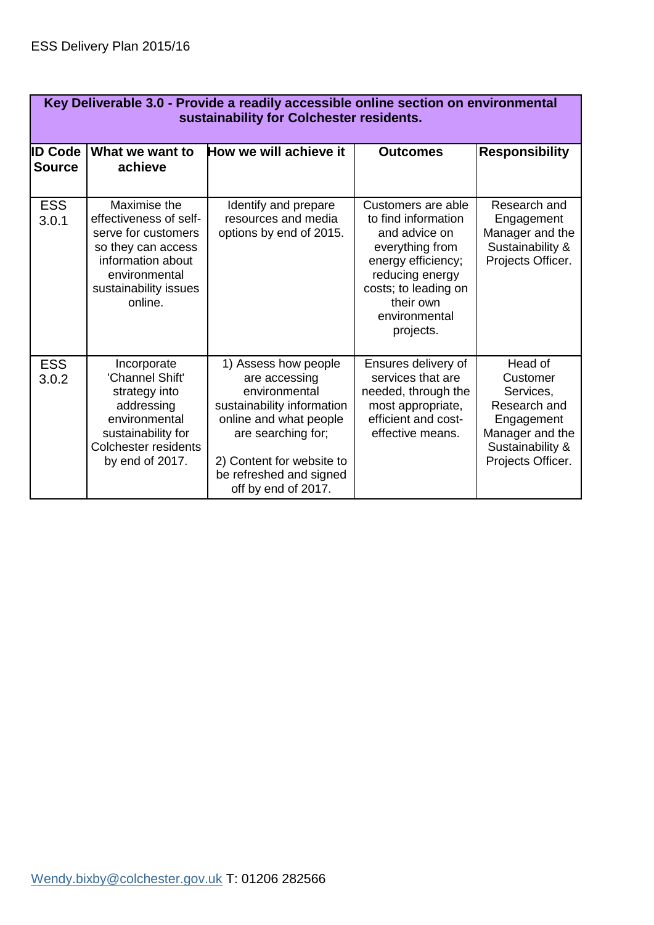| Key Deliverable 3.0 - Provide a readily accessible online section on environmental<br>sustainability for Colchester residents. |                                                                                                                                                               |                                                                                                                                                                                                                     |                                                                                                                                                                                           |                                                                                                                            |  |
|--------------------------------------------------------------------------------------------------------------------------------|---------------------------------------------------------------------------------------------------------------------------------------------------------------|---------------------------------------------------------------------------------------------------------------------------------------------------------------------------------------------------------------------|-------------------------------------------------------------------------------------------------------------------------------------------------------------------------------------------|----------------------------------------------------------------------------------------------------------------------------|--|
| <b>ID Code</b><br><b>Source</b>                                                                                                | What we want to<br>achieve                                                                                                                                    | How we will achieve it                                                                                                                                                                                              | <b>Outcomes</b>                                                                                                                                                                           | <b>Responsibility</b>                                                                                                      |  |
| <b>ESS</b><br>3.0.1                                                                                                            | Maximise the<br>effectiveness of self-<br>serve for customers<br>so they can access<br>information about<br>environmental<br>sustainability issues<br>online. | Identify and prepare<br>resources and media<br>options by end of 2015.                                                                                                                                              | Customers are able<br>to find information<br>and advice on<br>everything from<br>energy efficiency;<br>reducing energy<br>costs; to leading on<br>their own<br>environmental<br>projects. | Research and<br>Engagement<br>Manager and the<br>Sustainability &<br>Projects Officer.                                     |  |
| <b>ESS</b><br>3.0.2                                                                                                            | Incorporate<br>'Channel Shift'<br>strategy into<br>addressing<br>environmental<br>sustainability for<br>Colchester residents<br>by end of 2017.               | 1) Assess how people<br>are accessing<br>environmental<br>sustainability information<br>online and what people<br>are searching for;<br>2) Content for website to<br>be refreshed and signed<br>off by end of 2017. | Ensures delivery of<br>services that are<br>needed, through the<br>most appropriate,<br>efficient and cost-<br>effective means.                                                           | Head of<br>Customer<br>Services,<br>Research and<br>Engagement<br>Manager and the<br>Sustainability &<br>Projects Officer. |  |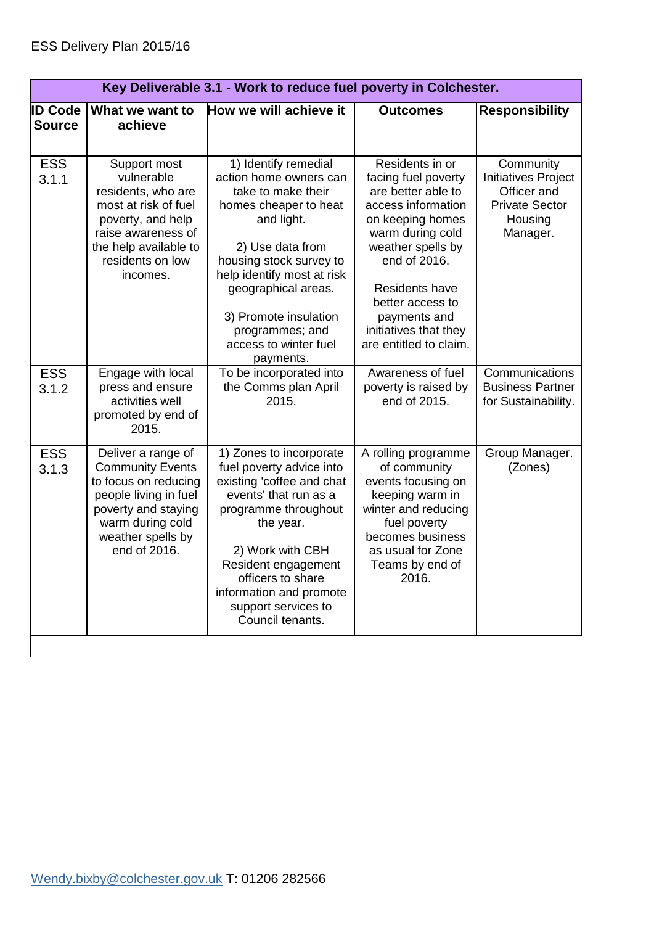| Key Deliverable 3.1 - Work to reduce fuel poverty in Colchester. |                                                                                                                                                                                |                                                                                                                                                                                                                                                                                                   |                                                                                                                                                                                                                                                                          |                                                                                                 |
|------------------------------------------------------------------|--------------------------------------------------------------------------------------------------------------------------------------------------------------------------------|---------------------------------------------------------------------------------------------------------------------------------------------------------------------------------------------------------------------------------------------------------------------------------------------------|--------------------------------------------------------------------------------------------------------------------------------------------------------------------------------------------------------------------------------------------------------------------------|-------------------------------------------------------------------------------------------------|
| <b>ID Code</b>                                                   | What we want to                                                                                                                                                                | How we will achieve it                                                                                                                                                                                                                                                                            | <b>Outcomes</b>                                                                                                                                                                                                                                                          | <b>Responsibility</b>                                                                           |
| <b>Source</b>                                                    | achieve                                                                                                                                                                        |                                                                                                                                                                                                                                                                                                   |                                                                                                                                                                                                                                                                          |                                                                                                 |
|                                                                  |                                                                                                                                                                                |                                                                                                                                                                                                                                                                                                   |                                                                                                                                                                                                                                                                          |                                                                                                 |
| <b>ESS</b><br>3.1.1                                              | Support most<br>vulnerable<br>residents, who are<br>most at risk of fuel<br>poverty, and help<br>raise awareness of<br>the help available to<br>residents on low<br>incomes.   | 1) Identify remedial<br>action home owners can<br>take to make their<br>homes cheaper to heat<br>and light.<br>2) Use data from<br>housing stock survey to<br>help identify most at risk<br>geographical areas.<br>3) Promote insulation<br>programmes; and<br>access to winter fuel<br>payments. | Residents in or<br>facing fuel poverty<br>are better able to<br>access information<br>on keeping homes<br>warm during cold<br>weather spells by<br>end of 2016.<br>Residents have<br>better access to<br>payments and<br>initiatives that they<br>are entitled to claim. | Community<br>Initiatives Project<br>Officer and<br><b>Private Sector</b><br>Housing<br>Manager. |
| <b>ESS</b><br>3.1.2                                              | Engage with local<br>press and ensure<br>activities well<br>promoted by end of<br>2015.                                                                                        | To be incorporated into<br>the Comms plan April<br>2015.                                                                                                                                                                                                                                          | Awareness of fuel<br>poverty is raised by<br>end of 2015.                                                                                                                                                                                                                | Communications<br><b>Business Partner</b><br>for Sustainability.                                |
| <b>ESS</b><br>3.1.3                                              | Deliver a range of<br><b>Community Events</b><br>to focus on reducing<br>people living in fuel<br>poverty and staying<br>warm during cold<br>weather spells by<br>end of 2016. | 1) Zones to incorporate<br>fuel poverty advice into<br>existing 'coffee and chat<br>events' that run as a<br>programme throughout<br>the year.<br>2) Work with CBH<br>Resident engagement<br>officers to share<br>information and promote<br>support services to<br>Council tenants.              | A rolling programme<br>of community<br>events focusing on<br>keeping warm in<br>winter and reducing<br>fuel poverty<br>becomes business<br>as usual for Zone<br>Teams by end of<br>2016.                                                                                 | Group Manager.<br>(Zones)                                                                       |
|                                                                  |                                                                                                                                                                                |                                                                                                                                                                                                                                                                                                   |                                                                                                                                                                                                                                                                          |                                                                                                 |